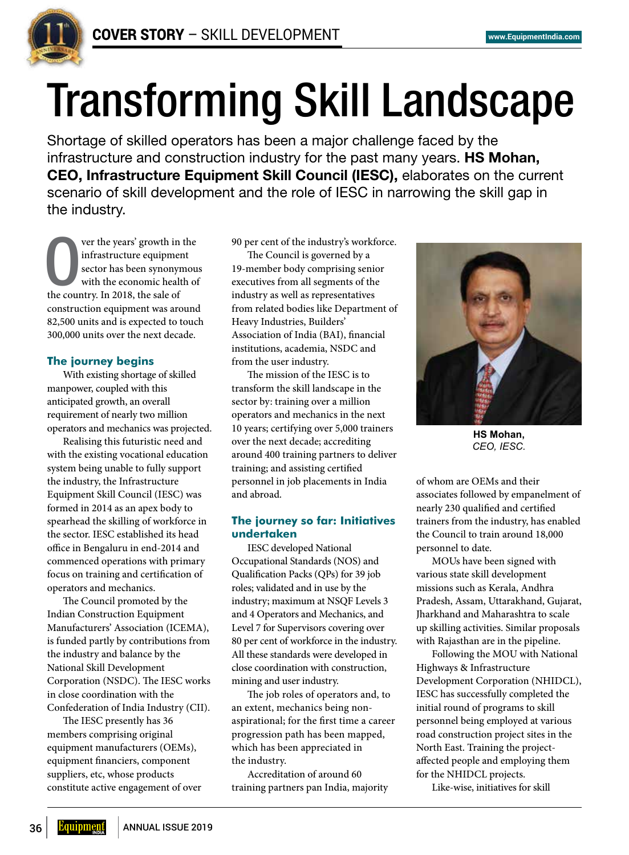

# Transforming Skill Landscape

Shortage of skilled operators has been a major challenge faced by the infrastructure and construction industry for the past many years. **HS Mohan, CEO, Infrastructure Equipment Skill Council (IESC),** elaborates on the current scenario of skill development and the role of IESC in narrowing the skill gap in the industry.

Ver the years' growth in<br>infrastructure equipmer<br>sector has been synonyr<br>with the economic healt<br>the country. In 2018, the sale of ver the years' growth in the infrastructure equipment sector has been synonymous with the economic health of construction equipment was around 82,500 units and is expected to touch 300,000 units over the next decade.

# **The journey begins**

With existing shortage of skilled manpower, coupled with this anticipated growth, an overall requirement of nearly two million operators and mechanics was projected.

Realising this futuristic need and with the existing vocational education system being unable to fully support the industry, the Infrastructure Equipment Skill Council (IESC) was formed in 2014 as an apex body to spearhead the skilling of workforce in the sector. IESC established its head office in Bengaluru in end-2014 and commenced operations with primary focus on training and certification of operators and mechanics.

The Council promoted by the Indian Construction Equipment Manufacturers' Association (ICEMA), is funded partly by contributions from the industry and balance by the National Skill Development Corporation (NSDC). The IESC works in close coordination with the Confederation of India Industry (CII).

The IESC presently has 36 members comprising original equipment manufacturers (OEMs), equipment financiers, component suppliers, etc, whose products constitute active engagement of over 90 per cent of the industry's workforce.

The Council is governed by a 19-member body comprising senior executives from all segments of the industry as well as representatives from related bodies like Department of Heavy Industries, Builders' Association of India (BAI), financial institutions, academia, NSDC and from the user industry.

The mission of the IESC is to transform the skill landscape in the sector by: training over a million operators and mechanics in the next 10 years; certifying over 5,000 trainers over the next decade; accrediting around 400 training partners to deliver training; and assisting certified personnel in job placements in India and abroad.

## **The journey so far: Initiatives undertaken**

IESC developed National Occupational Standards (NOS) and Qualification Packs (QPs) for 39 job roles; validated and in use by the industry; maximum at NSQF Levels 3 and 4 Operators and Mechanics, and Level 7 for Supervisors covering over 80 per cent of workforce in the industry. All these standards were developed in close coordination with construction, mining and user industry.

The job roles of operators and, to an extent, mechanics being nonaspirational; for the first time a career progression path has been mapped, which has been appreciated in the industry.

Accreditation of around 60 training partners pan India, majority



**HS Mohan,**  *CEO, IESC.*

of whom are OEMs and their associates followed by empanelment of nearly 230 qualified and certified trainers from the industry, has enabled the Council to train around 18,000 personnel to date.

MOUs have been signed with various state skill development missions such as Kerala, Andhra Pradesh, Assam, Uttarakhand, Gujarat, Jharkhand and Maharashtra to scale up skilling activities. Similar proposals with Rajasthan are in the pipeline.

Following the MOU with National Highways & Infrastructure Development Corporation (NHIDCL), IESC has successfully completed the initial round of programs to skill personnel being employed at various road construction project sites in the North East. Training the projectaffected people and employing them for the NHIDCL projects.

Like-wise, initiatives for skill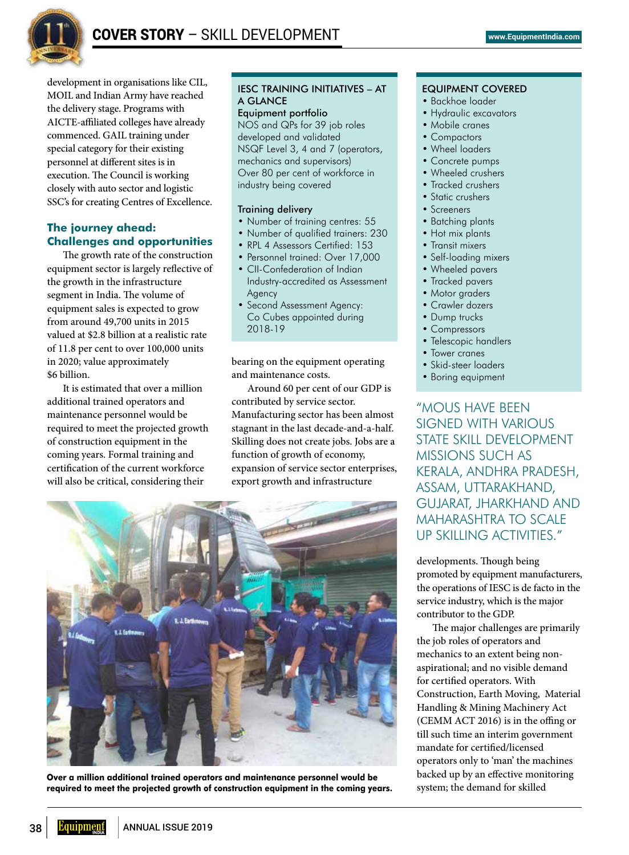

development in organisations like CIL, MOIL and Indian Army have reached the delivery stage. Programs with AICTE-affiliated colleges have already commenced. GAIL training under special category for their existing personnel at different sites is in execution. The Council is working closely with auto sector and logistic SSC's for creating Centres of Excellence.

# **The journey ahead: Challenges and opportunities**

The growth rate of the construction equipment sector is largely reflective of the growth in the infrastructure segment in India. The volume of equipment sales is expected to grow from around 49,700 units in 2015 valued at \$2.8 billion at a realistic rate of 11.8 per cent to over 100,000 units in 2020; value approximately \$6 billion.

It is estimated that over a million additional trained operators and maintenance personnel would be required to meet the projected growth of construction equipment in the coming years. Formal training and certification of the current workforce will also be critical, considering their

# IESC TRAINING INITIATIVES – AT A GLANCE

Equipment portfolio NOS and QPs for 39 job roles developed and validated NSQF Level 3, 4 and 7 (operators, mechanics and supervisors) Over 80 per cent of workforce in industry being covered

## Training delivery

- Number of training centres: 55
- Number of qualified trainers: 230
- RPL 4 Assessors Certified: 153
- Personnel trained: Over 17,000
- CII-Confederation of Indian Industry-accredited as Assessment Agency
- Second Assessment Agency: Co Cubes appointed during 2018-19

bearing on the equipment operating and maintenance costs.

Around 60 per cent of our GDP is contributed by service sector. Manufacturing sector has been almost stagnant in the last decade-and-a-half. Skilling does not create jobs. Jobs are a function of growth of economy, expansion of service sector enterprises, export growth and infrastructure



**Over a million additional trained operators and maintenance personnel would be required to meet the projected growth of construction equipment in the coming years.**

### EQUIPMENT COVERED

- Backhoe loader
- Hydraulic excavators
- Mobile cranes
- Compactors
- Wheel loaders
- Concrete pumps
- Wheeled crushers
- Tracked crushers
- Static crushers
- Screeners
- Batching plants
- Hot mix plants
- Transit mixers
- Self-loading mixers
- Wheeled pavers
- Tracked pavers
- Motor graders
- Crawler dozers
- Dump trucks
- Compressors
- Telescopic handlers
- Tower cranes
- Skid-steer loaders
- Boring equipment

"MOUS HAVE BEEN signed with various state skill development missions such as Kerala, Andhra Pradesh, Assam, Uttarakhand, Gujarat, Jharkhand and Maharashtra to scale up skilling activities."

developments. Though being promoted by equipment manufacturers, the operations of IESC is de facto in the service industry, which is the major contributor to the GDP.

The major challenges are primarily the job roles of operators and mechanics to an extent being nonaspirational; and no visible demand for certified operators. With Construction, Earth Moving, Material Handling & Mining Machinery Act (CEMM ACT 2016) is in the offing or till such time an interim government mandate for certified/licensed operators only to 'man' the machines backed up by an effective monitoring system; the demand for skilled